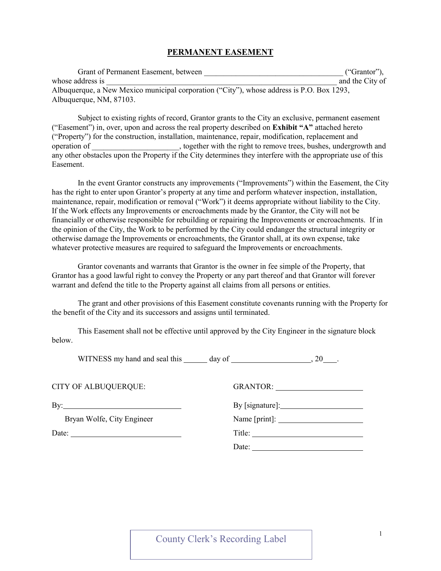## PERMANENT EASEMENT

| Grant of Permanent Easement, between                                                      | ("Grantor"),    |
|-------------------------------------------------------------------------------------------|-----------------|
| whose address is                                                                          | and the City of |
| Albuquerque, a New Mexico municipal corporation ("City"), whose address is P.O. Box 1293, |                 |
| Albuquerque, NM, 87103.                                                                   |                 |

Subject to existing rights of record, Grantor grants to the City an exclusive, permanent easement ("Easement") in, over, upon and across the real property described on Exhibit "A" attached hereto ("Property") for the construction, installation, maintenance, repair, modification, replacement and operation of peration of the right to remove trees, bushes, undergrowth and  $\alpha$ any other obstacles upon the Property if the City determines they interfere with the appropriate use of this Easement.

In the event Grantor constructs any improvements ("Improvements") within the Easement, the City has the right to enter upon Grantor's property at any time and perform whatever inspection, installation, maintenance, repair, modification or removal ("Work") it deems appropriate without liability to the City. If the Work effects any Improvements or encroachments made by the Grantor, the City will not be financially or otherwise responsible for rebuilding or repairing the Improvements or encroachments. If in the opinion of the City, the Work to be performed by the City could endanger the structural integrity or otherwise damage the Improvements or encroachments, the Grantor shall, at its own expense, take whatever protective measures are required to safeguard the Improvements or encroachments.

Grantor covenants and warrants that Grantor is the owner in fee simple of the Property, that Grantor has a good lawful right to convey the Property or any part thereof and that Grantor will forever warrant and defend the title to the Property against all claims from all persons or entities.

The grant and other provisions of this Easement constitute covenants running with the Property for the benefit of the City and its successors and assigns until terminated.

This Easement shall not be effective until approved by the City Engineer in the signature block below.

WITNESS my hand and seal this day of , 20 .

CITY OF ALBUQUERQUE:

| <b>CITY OF ALBUQUERQUE:</b> | GRANTOR: University of the Second Second Second Second Second Second Second Second Second Second Second Second Second Second Second Second Second Second Second Second Second Second Second Second Second Second Second Second |
|-----------------------------|--------------------------------------------------------------------------------------------------------------------------------------------------------------------------------------------------------------------------------|
| By: $\qquad \qquad$         |                                                                                                                                                                                                                                |
| Bryan Wolfe, City Engineer  |                                                                                                                                                                                                                                |
| Date: $\qquad \qquad$       |                                                                                                                                                                                                                                |
|                             | Date:                                                                                                                                                                                                                          |